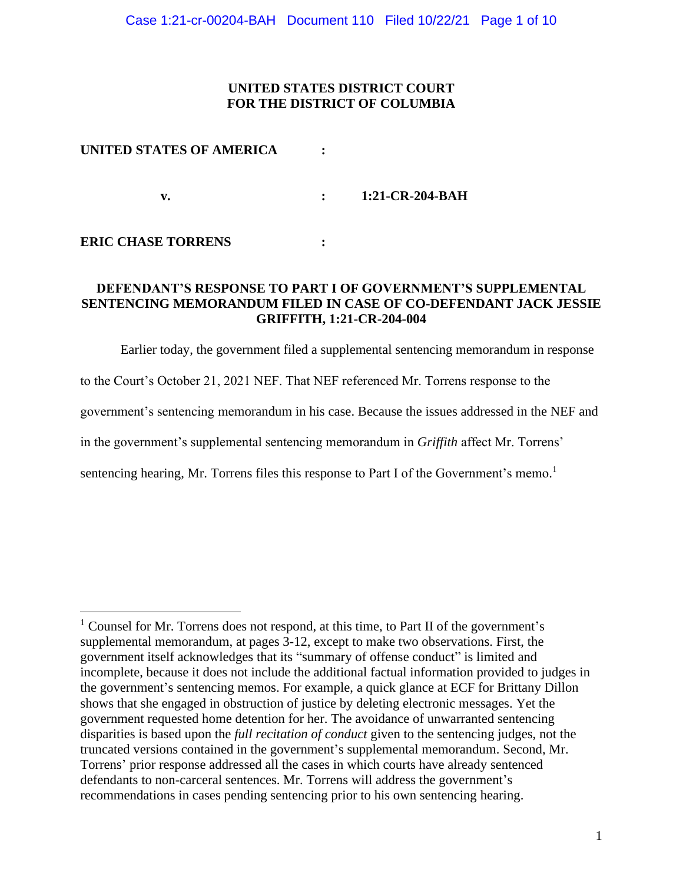## **UNITED STATES DISTRICT COURT FOR THE DISTRICT OF COLUMBIA**

### **UNITED STATES OF AMERICA :**

**v. : 1:21-CR-204-BAH**

### **ERIC CHASE TORRENS :**

## **DEFENDANT'S RESPONSE TO PART I OF GOVERNMENT'S SUPPLEMENTAL SENTENCING MEMORANDUM FILED IN CASE OF CO-DEFENDANT JACK JESSIE GRIFFITH, 1:21-CR-204-004**

Earlier today, the government filed a supplemental sentencing memorandum in response to the Court's October 21, 2021 NEF. That NEF referenced Mr. Torrens response to the government's sentencing memorandum in his case. Because the issues addressed in the NEF and in the government's supplemental sentencing memorandum in *Griffith* affect Mr. Torrens' sentencing hearing, Mr. Torrens files this response to Part I of the Government's memo.<sup>1</sup>

<sup>&</sup>lt;sup>1</sup> Counsel for Mr. Torrens does not respond, at this time, to Part II of the government's supplemental memorandum, at pages 3-12, except to make two observations. First, the government itself acknowledges that its "summary of offense conduct" is limited and incomplete, because it does not include the additional factual information provided to judges in the government's sentencing memos. For example, a quick glance at ECF for Brittany Dillon shows that she engaged in obstruction of justice by deleting electronic messages. Yet the government requested home detention for her. The avoidance of unwarranted sentencing disparities is based upon the *full recitation of conduct* given to the sentencing judges, not the truncated versions contained in the government's supplemental memorandum. Second, Mr. Torrens' prior response addressed all the cases in which courts have already sentenced defendants to non-carceral sentences. Mr. Torrens will address the government's recommendations in cases pending sentencing prior to his own sentencing hearing.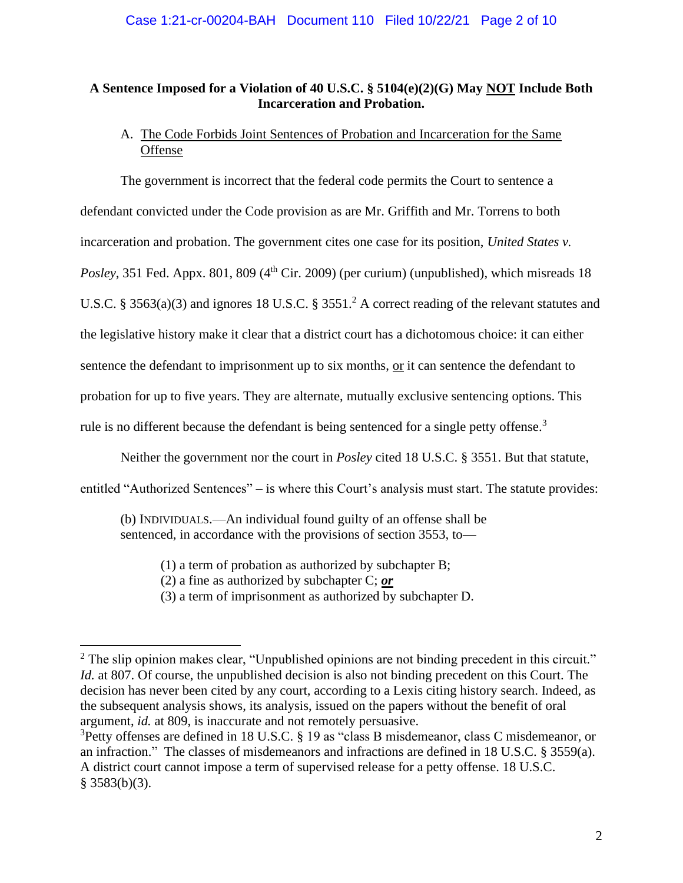## **A Sentence Imposed for a Violation of 40 U.S.C. § 5104(e)(2)(G) May NOT Include Both Incarceration and Probation.**

# A. The Code Forbids Joint Sentences of Probation and Incarceration for the Same **Offense**

The government is incorrect that the federal code permits the Court to sentence a defendant convicted under the Code provision as are Mr. Griffith and Mr. Torrens to both incarceration and probation. The government cites one case for its position, *United States v. Posley*, 351 Fed. Appx. 801, 809 (4<sup>th</sup> Cir. 2009) (per curium) (unpublished), which misreads 18 U.S.C. § 3563(a)(3) and ignores 18 U.S.C. § 3551.<sup>2</sup> A correct reading of the relevant statutes and the legislative history make it clear that a district court has a dichotomous choice: it can either sentence the defendant to imprisonment up to six months, or it can sentence the defendant to probation for up to five years. They are alternate, mutually exclusive sentencing options. This rule is no different because the defendant is being sentenced for a single petty offense.<sup>3</sup>

Neither the government nor the court in *Posley* cited 18 U.S.C. § 3551. But that statute,

entitled "Authorized Sentences" – is where this Court's analysis must start. The statute provides:

(b) INDIVIDUALS.—An individual found guilty of an offense shall be sentenced, in accordance with the provisions of section 3553, to—

(1) a term of probation as authorized by subchapter B;

(2) a fine as authorized by subchapter C; *or*

(3) a term of imprisonment as authorized by subchapter D.

<sup>&</sup>lt;sup>2</sup> The slip opinion makes clear, "Unpublished opinions are not binding precedent in this circuit." *Id.* at 807. Of course, the unpublished decision is also not binding precedent on this Court. The decision has never been cited by any court, according to a Lexis citing history search. Indeed, as the subsequent analysis shows, its analysis, issued on the papers without the benefit of oral argument, *id.* at 809, is inaccurate and not remotely persuasive.

<sup>&</sup>lt;sup>3</sup>Petty offenses are defined in 18 U.S.C. § 19 as "class B misdemeanor, class C misdemeanor, or an infraction." The classes of misdemeanors and infractions are defined in 18 U.S.C. § 3559(a). A district court cannot impose a term of supervised release for a petty offense. 18 U.S.C.  $§$  3583(b)(3).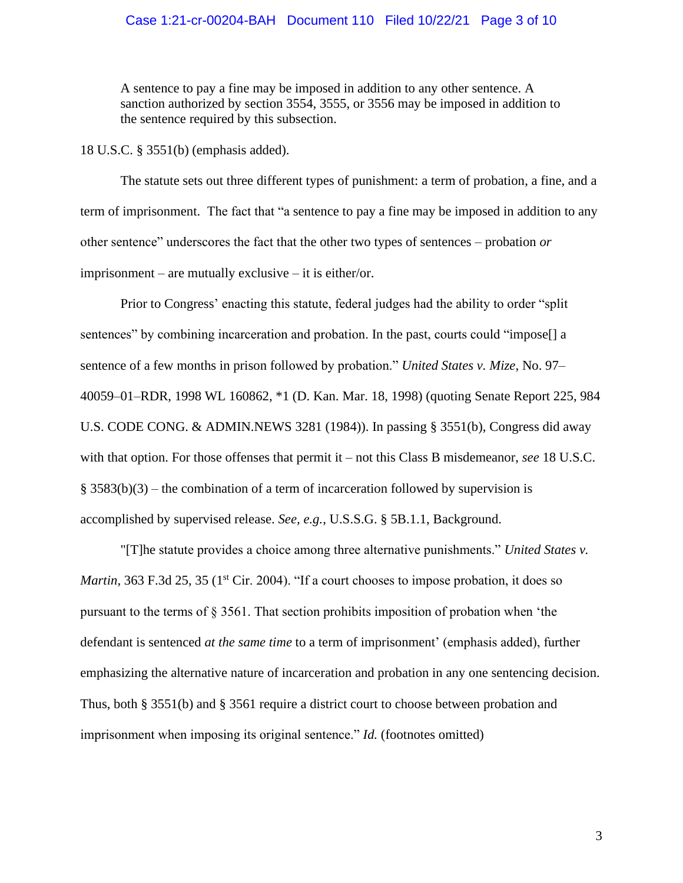#### Case 1:21-cr-00204-BAH Document 110 Filed 10/22/21 Page 3 of 10

A sentence to pay a fine may be imposed in addition to any other sentence. A sanction authorized by section 3554, 3555, or 3556 may be imposed in addition to the sentence required by this subsection.

18 U.S.C. § 3551(b) (emphasis added).

The statute sets out three different types of punishment: a term of probation, a fine, and a term of imprisonment. The fact that "a sentence to pay a fine may be imposed in addition to any other sentence" underscores the fact that the other two types of sentences – probation *or* imprisonment – are mutually exclusive – it is either/or.

Prior to Congress' enacting this statute, federal judges had the ability to order "split sentences" by combining incarceration and probation. In the past, courts could "impose[] a sentence of a few months in prison followed by probation." *United States v. Mize*, No. 97– 40059–01–RDR, 1998 WL 160862, \*1 (D. Kan. Mar. 18, 1998) (quoting Senate Report 225, 984 U.S. CODE CONG. & ADMIN.NEWS 3281 (1984)). In passing § 3551(b), Congress did away with that option. For those offenses that permit it – not this Class B misdemeanor, *see* 18 U.S.C.  $§$  3583(b)(3) – the combination of a term of incarceration followed by supervision is accomplished by supervised release. *See, e.g.*, U.S.S.G. § 5B.1.1, Background.

"[T]he statute provides a choice among three alternative punishments." *United States v. Martin*, 363 F.3d 25, 35 (1<sup>st</sup> Cir. 2004). "If a court chooses to impose probation, it does so pursuant to the terms of  $\S 3561$ . That section prohibits imposition of probation when 'the defendant is sentenced *at the same time* to a term of imprisonment' (emphasis added), further emphasizing the alternative nature of incarceration and probation in any one sentencing decision. Thus, both § 3551(b) and § 3561 require a district court to choose between probation and imprisonment when imposing its original sentence." *Id.* (footnotes omitted)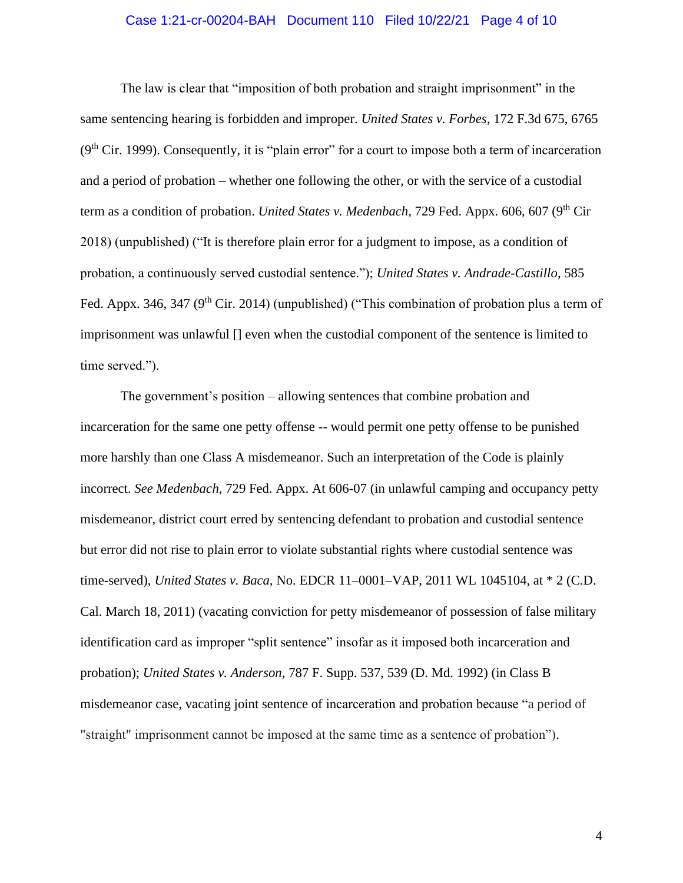#### Case 1:21-cr-00204-BAH Document 110 Filed 10/22/21 Page 4 of 10

The law is clear that "imposition of both probation and straight imprisonment" in the same sentencing hearing is forbidden and improper. *United States v. Forbes*, 172 F.3d 675, 6765  $(9<sup>th</sup> Cir. 1999)$ . Consequently, it is "plain error" for a court to impose both a term of incarceration and a period of probation – whether one following the other, or with the service of a custodial term as a condition of probation. *United States v. Medenbach*, 729 Fed. Appx. 606, 607 (9<sup>th</sup> Cir 2018) (unpublished) ("It is therefore plain error for a judgment to impose, as a condition of probation, a continuously served custodial sentence."); *United States v. Andrade-Castillo*, 585 Fed. Appx. 346, 347 ( $9<sup>th</sup>$  Cir. 2014) (unpublished) ("This combination of probation plus a term of imprisonment was unlawful [] even when the custodial component of the sentence is limited to time served.").

The government's position – allowing sentences that combine probation and incarceration for the same one petty offense -- would permit one petty offense to be punished more harshly than one Class A misdemeanor. Such an interpretation of the Code is plainly incorrect. *See Medenbach*, 729 Fed. Appx. At 606-07 (in unlawful camping and occupancy petty misdemeanor, district court erred by sentencing defendant to probation and custodial sentence but error did not rise to plain error to violate substantial rights where custodial sentence was time-served), *United States v. Baca,* No. EDCR 11–0001–VAP, 2011 WL 1045104, at \* 2 (C.D. Cal. March 18, 2011) (vacating conviction for petty misdemeanor of possession of false military identification card as improper "split sentence" insofar as it imposed both incarceration and probation); *United States v. Anderson*, 787 F. Supp. 537, 539 (D. Md. 1992) (in Class B misdemeanor case, vacating joint sentence of incarceration and probation because "a period of "straight" imprisonment cannot be imposed at the same time as a sentence of probation").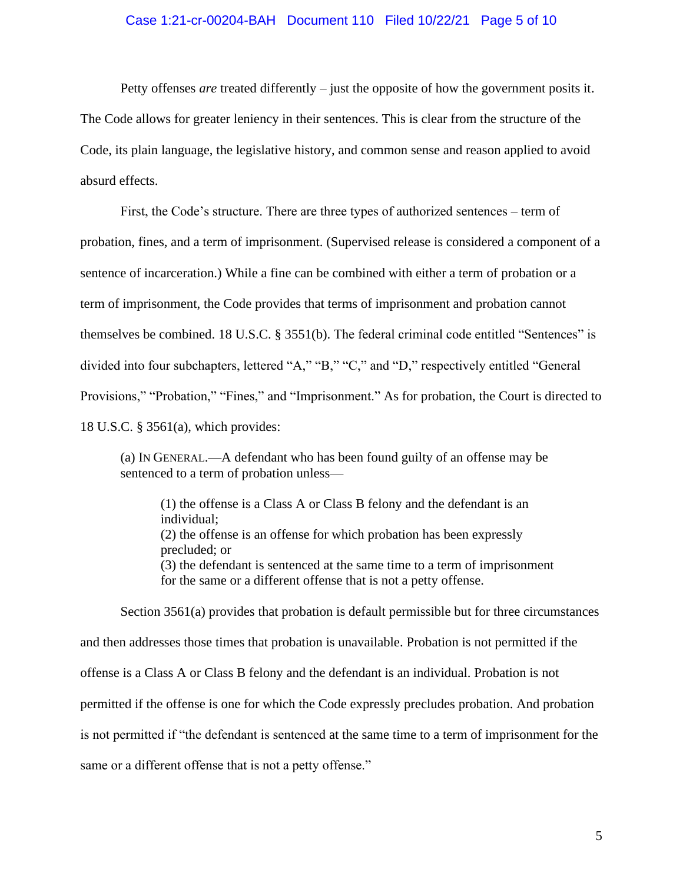#### Case 1:21-cr-00204-BAH Document 110 Filed 10/22/21 Page 5 of 10

Petty offenses *are* treated differently – just the opposite of how the government posits it.

The Code allows for greater leniency in their sentences. This is clear from the structure of the Code, its plain language, the legislative history, and common sense and reason applied to avoid absurd effects.

First, the Code's structure. There are three types of authorized sentences – term of probation, fines, and a term of imprisonment. (Supervised release is considered a component of a sentence of incarceration.) While a fine can be combined with either a term of probation or a term of imprisonment, the Code provides that terms of imprisonment and probation cannot themselves be combined. 18 U.S.C. § 3551(b). The federal criminal code entitled "Sentences" is divided into four subchapters, lettered "A," "B," "C," and "D," respectively entitled "General Provisions," "Probation," "Fines," and "Imprisonment." As for probation, the Court is directed to 18 U.S.C. § 3561(a), which provides:

(a) IN GENERAL.—A defendant who has been found guilty of an offense may be sentenced to a term of probation unless—

(1) the offense is a Class A or Class B felony and the defendant is an individual; (2) the offense is an offense for which probation has been expressly precluded; or (3) the defendant is sentenced at the same time to a term of imprisonment for the same or a different offense that is not a petty offense.

Section 3561(a) provides that probation is default permissible but for three circumstances and then addresses those times that probation is unavailable. Probation is not permitted if the offense is a Class A or Class B felony and the defendant is an individual. Probation is not permitted if the offense is one for which the Code expressly precludes probation. And probation is not permitted if "the defendant is sentenced at the same time to a term of imprisonment for the same or a different offense that is not a petty offense."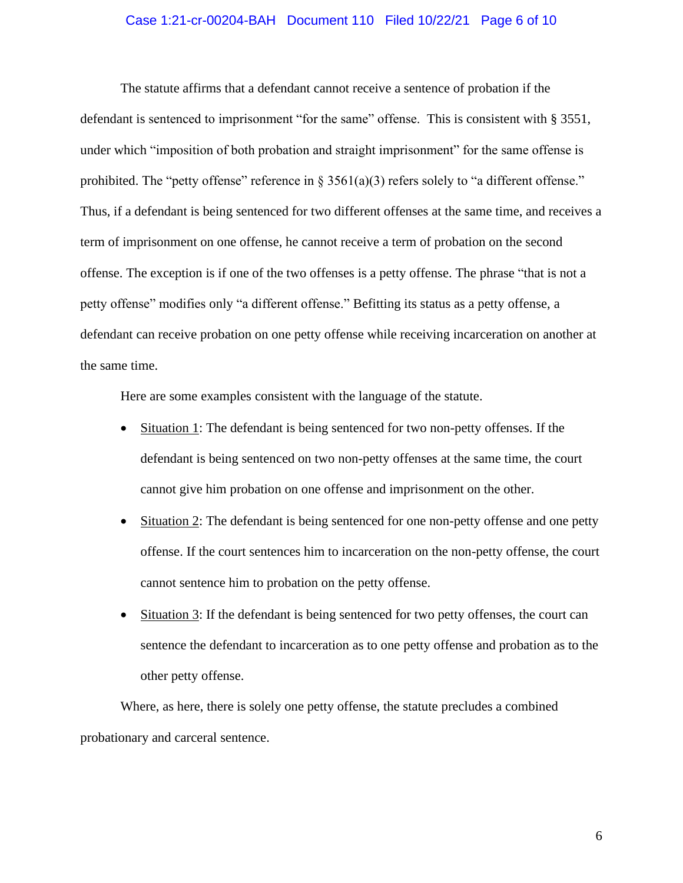#### Case 1:21-cr-00204-BAH Document 110 Filed 10/22/21 Page 6 of 10

The statute affirms that a defendant cannot receive a sentence of probation if the defendant is sentenced to imprisonment "for the same" offense. This is consistent with § 3551, under which "imposition of both probation and straight imprisonment" for the same offense is prohibited. The "petty offense" reference in § 3561(a)(3) refers solely to "a different offense." Thus, if a defendant is being sentenced for two different offenses at the same time, and receives a term of imprisonment on one offense, he cannot receive a term of probation on the second offense. The exception is if one of the two offenses is a petty offense. The phrase "that is not a petty offense" modifies only "a different offense." Befitting its status as a petty offense, a defendant can receive probation on one petty offense while receiving incarceration on another at the same time.

Here are some examples consistent with the language of the statute.

- Situation 1: The defendant is being sentenced for two non-petty offenses. If the defendant is being sentenced on two non-petty offenses at the same time, the court cannot give him probation on one offense and imprisonment on the other.
- Situation 2: The defendant is being sentenced for one non-petty offense and one petty offense. If the court sentences him to incarceration on the non-petty offense, the court cannot sentence him to probation on the petty offense.
- Situation 3: If the defendant is being sentenced for two petty offenses, the court can sentence the defendant to incarceration as to one petty offense and probation as to the other petty offense.

Where, as here, there is solely one petty offense, the statute precludes a combined probationary and carceral sentence.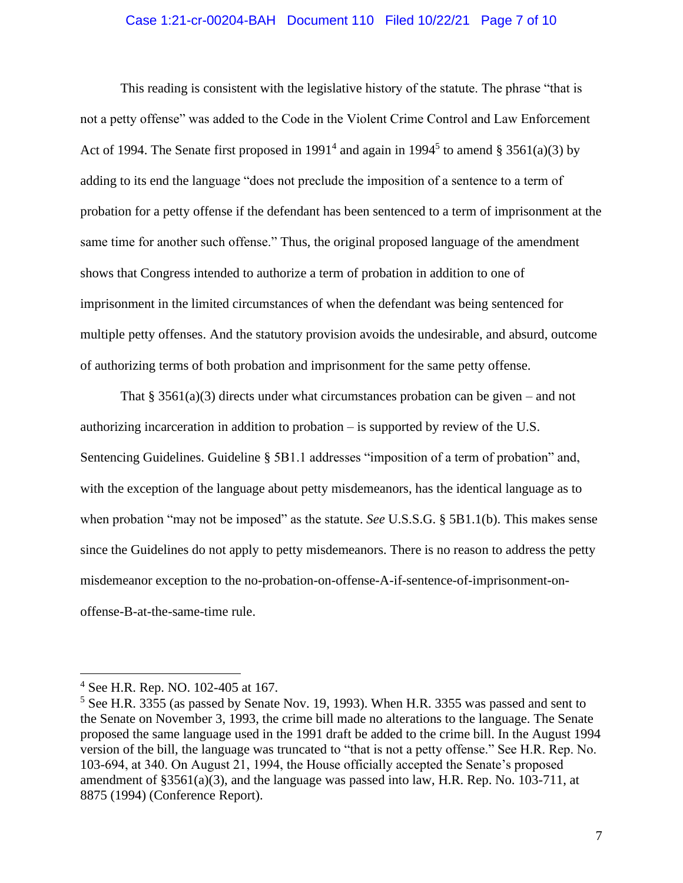#### Case 1:21-cr-00204-BAH Document 110 Filed 10/22/21 Page 7 of 10

This reading is consistent with the legislative history of the statute. The phrase "that is not a petty offense" was added to the Code in the Violent Crime Control and Law Enforcement Act of 1994. The Senate first proposed in 1991<sup>4</sup> and again in 1994<sup>5</sup> to amend § 3561(a)(3) by adding to its end the language "does not preclude the imposition of a sentence to a term of probation for a petty offense if the defendant has been sentenced to a term of imprisonment at the same time for another such offense." Thus, the original proposed language of the amendment shows that Congress intended to authorize a term of probation in addition to one of imprisonment in the limited circumstances of when the defendant was being sentenced for multiple petty offenses. And the statutory provision avoids the undesirable, and absurd, outcome of authorizing terms of both probation and imprisonment for the same petty offense.

That  $\S 3561(a)(3)$  directs under what circumstances probation can be given – and not authorizing incarceration in addition to probation – is supported by review of the U.S. Sentencing Guidelines. Guideline § 5B1.1 addresses "imposition of a term of probation" and, with the exception of the language about petty misdemeanors, has the identical language as to when probation "may not be imposed" as the statute. *See* U.S.S.G. § 5B1.1(b). This makes sense since the Guidelines do not apply to petty misdemeanors. There is no reason to address the petty misdemeanor exception to the no-probation-on-offense-A-if-sentence-of-imprisonment-onoffense-B-at-the-same-time rule.

<sup>4</sup> See H.R. Rep. NO. 102-405 at 167.

<sup>5</sup> See H.R. 3355 (as passed by Senate Nov. 19, 1993). When H.R. 3355 was passed and sent to the Senate on November 3, 1993, the crime bill made no alterations to the language. The Senate proposed the same language used in the 1991 draft be added to the crime bill. In the August 1994 version of the bill, the language was truncated to "that is not a petty offense." See H.R. Rep. No. 103-694, at 340. On August 21, 1994, the House officially accepted the Senate's proposed amendment of §3561(a)(3), and the language was passed into law, H.R. Rep. No. 103-711, at 8875 (1994) (Conference Report).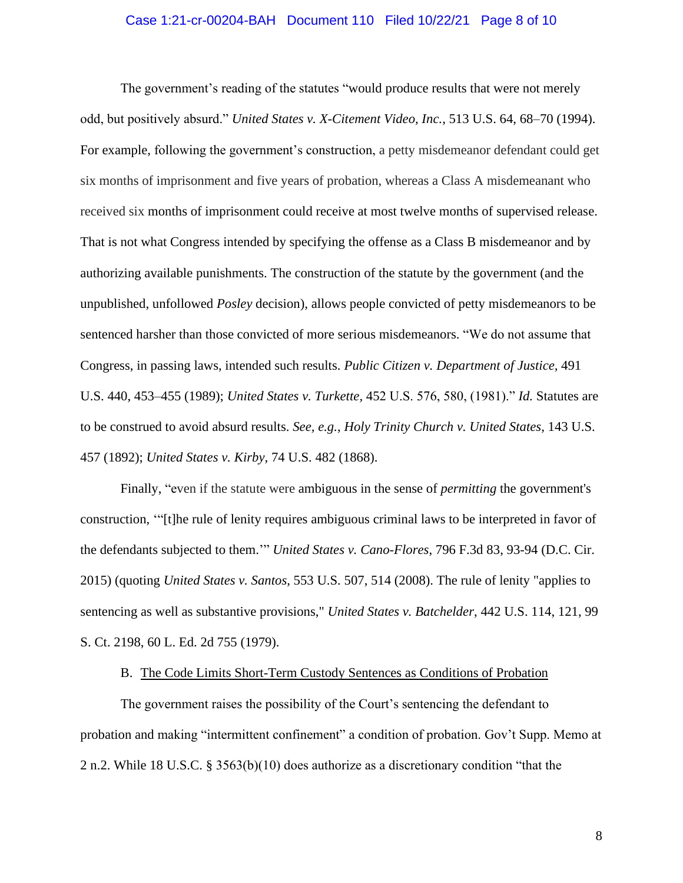#### Case 1:21-cr-00204-BAH Document 110 Filed 10/22/21 Page 8 of 10

The government's reading of the statutes "would produce results that were not merely odd, but positively absurd." *United States v. X-Citement Video, Inc.*, 513 U.S. 64, 68–70 (1994). For example, following the government's construction, a petty misdemeanor defendant could get six months of imprisonment and five years of probation, whereas a Class A misdemeanant who received six months of imprisonment could receive at most twelve months of supervised release. That is not what Congress intended by specifying the offense as a Class B misdemeanor and by authorizing available punishments. The construction of the statute by the government (and the unpublished, unfollowed *Posley* decision), allows people convicted of petty misdemeanors to be sentenced harsher than those convicted of more serious misdemeanors. "We do not assume that Congress, in passing laws, intended such results. *Public Citizen v. Department of Justice,* 491 U.S. 440, 453–455 (1989); *United States v. Turkette,* 452 U.S. 576, 580, (1981)." *Id.* Statutes are to be construed to avoid absurd results. *See, e.g.*, *Holy Trinity Church v. United States*, 143 U.S. 457 (1892); *United States v. Kirby*, 74 U.S. 482 (1868).

Finally, "even if the statute were ambiguous in the sense of *permitting* the government's construction, '"[t]he rule of lenity requires ambiguous criminal laws to be interpreted in favor of the defendants subjected to them.'" *United States v. Cano-Flores*, 796 F.3d 83, 93-94 (D.C. Cir. 2015) (quoting *United States v. Santos*, 553 U.S. 507, 514 (2008). The rule of lenity "applies to sentencing as well as substantive provisions," *United States v. Batchelder*, 442 U.S. 114, 121, 99 S. Ct. 2198, 60 L. Ed. 2d 755 (1979).

B. The Code Limits Short-Term Custody Sentences as Conditions of Probation

The government raises the possibility of the Court's sentencing the defendant to probation and making "intermittent confinement" a condition of probation. Gov't Supp. Memo at 2 n.2. While 18 U.S.C. § 3563(b)(10) does authorize as a discretionary condition "that the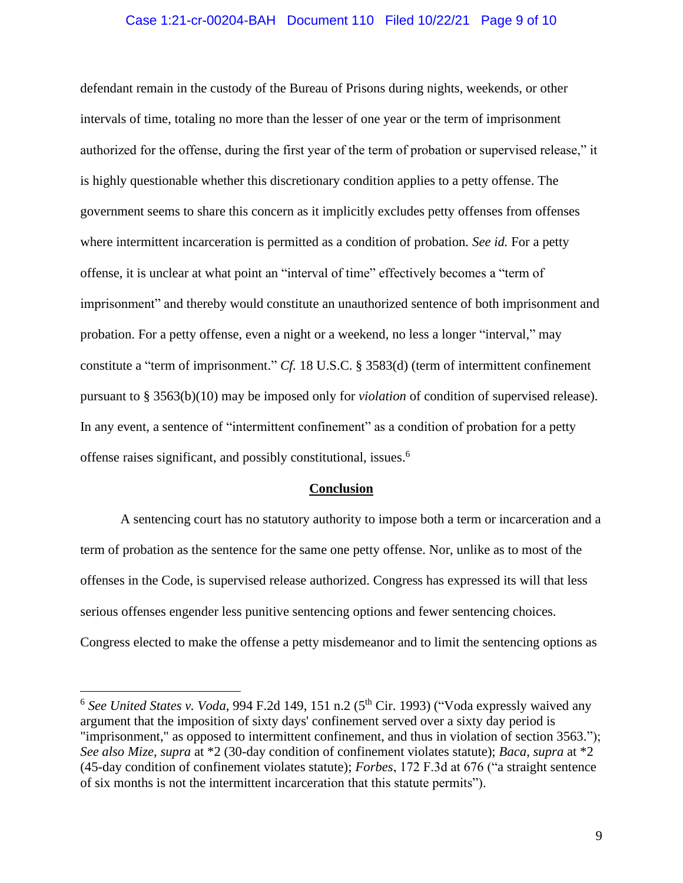#### Case 1:21-cr-00204-BAH Document 110 Filed 10/22/21 Page 9 of 10

defendant remain in the custody of the Bureau of Prisons during nights, weekends, or other intervals of time, totaling no more than the lesser of one year or the term of imprisonment authorized for the offense, during the first year of the term of probation or supervised release," it is highly questionable whether this discretionary condition applies to a petty offense. The government seems to share this concern as it implicitly excludes petty offenses from offenses where intermittent incarceration is permitted as a condition of probation. *See id.* For a petty offense, it is unclear at what point an "interval of time" effectively becomes a "term of imprisonment" and thereby would constitute an unauthorized sentence of both imprisonment and probation. For a petty offense, even a night or a weekend, no less a longer "interval," may constitute a "term of imprisonment." *Cf.* 18 U.S.C. § 3583(d) (term of intermittent confinement pursuant to § 3563(b)(10) may be imposed only for *violation* of condition of supervised release). In any event, a sentence of "intermittent confinement" as a condition of probation for a petty offense raises significant, and possibly constitutional, issues. 6

#### **Conclusion**

A sentencing court has no statutory authority to impose both a term or incarceration and a term of probation as the sentence for the same one petty offense. Nor, unlike as to most of the offenses in the Code, is supervised release authorized. Congress has expressed its will that less serious offenses engender less punitive sentencing options and fewer sentencing choices. Congress elected to make the offense a petty misdemeanor and to limit the sentencing options as

<sup>&</sup>lt;sup>6</sup> See United States v. Voda, 994 F.2d 149, 151 n.2 (5<sup>th</sup> Cir. 1993) ("Voda expressly waived any argument that the imposition of sixty days' confinement served over a sixty day period is "imprisonment," as opposed to intermittent confinement, and thus in violation of section 3563."); *See also Mize*, *supra* at \*2 (30-day condition of confinement violates statute); *Baca*, *supra* at \*2 (45-day condition of confinement violates statute); *Forbes*, 172 F.3d at 676 ("a straight sentence of six months is not the intermittent incarceration that this statute permits").